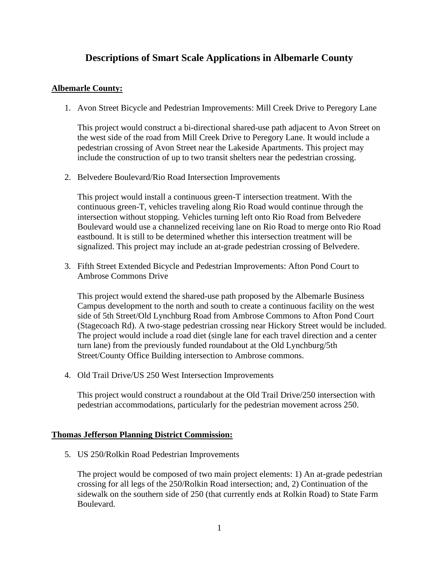## **Descriptions of Smart Scale Applications in Albemarle County**

## **Albemarle County:**

1. Avon Street Bicycle and Pedestrian Improvements: Mill Creek Drive to Peregory Lane

This project would construct a bi-directional shared-use path adjacent to Avon Street on the west side of the road from Mill Creek Drive to Peregory Lane. It would include a pedestrian crossing of Avon Street near the Lakeside Apartments. This project may include the construction of up to two transit shelters near the pedestrian crossing.

2. Belvedere Boulevard/Rio Road Intersection Improvements

This project would install a continuous green-T intersection treatment. With the continuous green-T, vehicles traveling along Rio Road would continue through the intersection without stopping. Vehicles turning left onto Rio Road from Belvedere Boulevard would use a channelized receiving lane on Rio Road to merge onto Rio Road eastbound. It is still to be determined whether this intersection treatment will be signalized. This project may include an at-grade pedestrian crossing of Belvedere.

3. Fifth Street Extended Bicycle and Pedestrian Improvements: Afton Pond Court to Ambrose Commons Drive

This project would extend the shared-use path proposed by the Albemarle Business Campus development to the north and south to create a continuous facility on the west side of 5th Street/Old Lynchburg Road from Ambrose Commons to Afton Pond Court (Stagecoach Rd). A two-stage pedestrian crossing near Hickory Street would be included. The project would include a road diet (single lane for each travel direction and a center turn lane) from the previously funded roundabout at the Old Lynchburg/5th Street/County Office Building intersection to Ambrose commons.

4. Old Trail Drive/US 250 West Intersection Improvements

This project would construct a roundabout at the Old Trail Drive/250 intersection with pedestrian accommodations, particularly for the pedestrian movement across 250.

## **Thomas Jefferson Planning District Commission:**

5. US 250/Rolkin Road Pedestrian Improvements

The project would be composed of two main project elements: 1) An at-grade pedestrian crossing for all legs of the 250/Rolkin Road intersection; and, 2) Continuation of the sidewalk on the southern side of 250 (that currently ends at Rolkin Road) to State Farm Boulevard.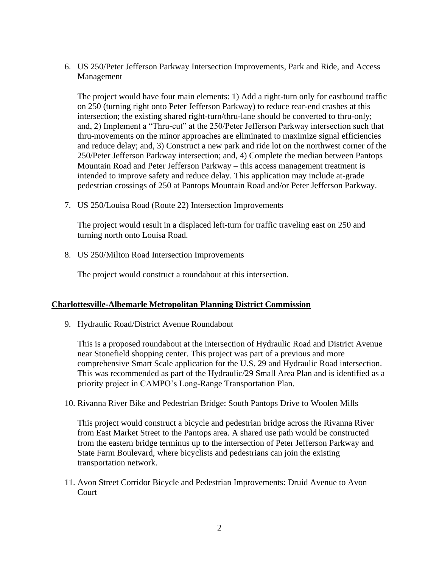6. US 250/Peter Jefferson Parkway Intersection Improvements, Park and Ride, and Access Management

The project would have four main elements: 1) Add a right-turn only for eastbound traffic on 250 (turning right onto Peter Jefferson Parkway) to reduce rear-end crashes at this intersection; the existing shared right-turn/thru-lane should be converted to thru-only; and, 2) Implement a "Thru-cut" at the 250/Peter Jefferson Parkway intersection such that thru-movements on the minor approaches are eliminated to maximize signal efficiencies and reduce delay; and, 3) Construct a new park and ride lot on the northwest corner of the 250/Peter Jefferson Parkway intersection; and, 4) Complete the median between Pantops Mountain Road and Peter Jefferson Parkway – this access management treatment is intended to improve safety and reduce delay. This application may include at-grade pedestrian crossings of 250 at Pantops Mountain Road and/or Peter Jefferson Parkway.

7. US 250/Louisa Road (Route 22) Intersection Improvements

The project would result in a displaced left-turn for traffic traveling east on 250 and turning north onto Louisa Road.

8. US 250/Milton Road Intersection Improvements

The project would construct a roundabout at this intersection.

## **Charlottesville-Albemarle Metropolitan Planning District Commission**

9. Hydraulic Road/District Avenue Roundabout

This is a proposed roundabout at the intersection of Hydraulic Road and District Avenue near Stonefield shopping center. This project was part of a previous and more comprehensive Smart Scale application for the U.S. 29 and Hydraulic Road intersection. This was recommended as part of the Hydraulic/29 Small Area Plan and is identified as a priority project in CAMPO's Long-Range Transportation Plan.

10. Rivanna River Bike and Pedestrian Bridge: South Pantops Drive to Woolen Mills

This project would construct a bicycle and pedestrian bridge across the Rivanna River from East Market Street to the Pantops area. A shared use path would be constructed from the eastern bridge terminus up to the intersection of Peter Jefferson Parkway and State Farm Boulevard, where bicyclists and pedestrians can join the existing transportation network.

11. Avon Street Corridor Bicycle and Pedestrian Improvements: Druid Avenue to Avon Court